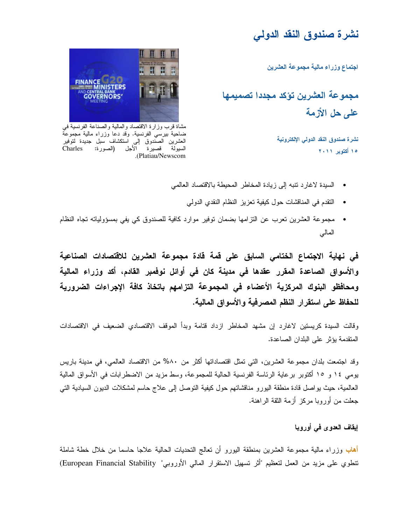## نشرة صندوق النقد الدولى

اجتماع وزراء مالية مجموعة العشرين

مجموعة العشرين تؤكد مجددا تصميمها علم حل الأزمة

> نشرة صندوق النقد الدولى الإلكترونية ١٥ أكتوبر ٢٠١١



مشاة قرب وزارة الاقتصاد والمالية والصناعة الفرنسية في ضاحية بيرسي الفرنسية. وقد دعا وزراء مالية مجموعة<br>العشرين الصندوق إلى استكشاف سبل جديدة لتوفير السيولَّةَ فَصيرَةَ الْأَجل (الصورة: Charles .(Platiau/Newscom

- السيدة لاغارد نتبه إلى زيادة المخاطر المحيطة بالاقتصاد العالمي
	- النقدم في المناقشات حول كيفية تعزيز النظام النقدي الدولي
- مجموعة العشرين نعرب عن التزامها بضمان توفير موارد كافية للصندوق كي يفي بمسؤولياته تجاه النظام المالي

في نهاية الاجتماع الختامي السابق على قمة قادة مجموعة العشرين للاقتصادات الصناعية والأسواق الصاعدة المقرر عقدها في مدينة كان في أوائل نوفمبر القادم، أكد وزراء المالية ومحافظو البنوك المركزية الأعضاء فى المجموعة التزامهم باتخاذ كافة الإجراءات الضرورية للحفاظ على استقرار النظم المصرفية والأسواق المالية.

وقالت السيدة كريستين لاغارد إن مشهد المخاطر ازداد قتامة وبدأ الموقف الاقتصادي الضعيف في الاقتصادات المتقدمة يؤثر على البلدان الصاعدة.

وقد اجتمعت بلدان مجموعة العشرين، التي تمثل اقتصاداتها أكثر من ٨٠% من الاقتصاد العالمي، في مدينة باريس يومي ١٤ و ١٥ أكتوبر برعاية الرئاسة الفرنسية الحالية للمجموعة، وسط مزيد من الاضطرابات في الأسواق المالية العالمية، حيث يو اصل قادة منطقة اليورو مناقشاتهم حول كيفية التوصل إلى علاج حاسم لمشكلات الديون السيادية التي جعلت من أوروبا مركز أزمة الثقة الراهنة.

## إيقاف العدوى في أوروبا

أهاب وزراء مالية مجموعة العشرين بمنطقة البورو أن نعالج النحديات الحالية علاجا حاسما من خلال خطة شاملة نتطوي على مزيد من العمل لتعظيم "أثر تسهيل الاستقرار المالي الأوروبي" European Financial Stability)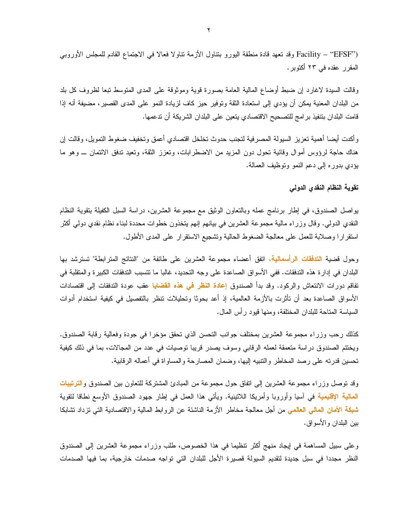("Facility – "EFSF وقد تعهد قادة منطقة اليورو بنتاول الأزمة نتاولا فعالا في الاجتماع القادم للمجلس الأوروبي المقرر عقده في ٢٣ أكتوبر .

وقالت السيدة لاغارد إن ضبط أوضاع المالية العامة بصورة قوية وموثوقة على المدى المتوسط تبعا لظروف كل بلد من البلدان المعنية يمكن أن يؤدي إلى استعادة الثقة وتوفير حيز كاف لزيادة النمو على المدى القصير، مضيفة أنه إذا قامت البلدان بنتفيذ بر امج للتصحيح الاقتصادي يتعين على البلدان الشريكة أن تدعمها.

وأكدت أيضا أهمية تعزيز السيولة المصرفية لتجنب حدوث تخلخل اقتصادي أعمق وتخفيف ضغوط التمويل، وقالت إن هناك حاجة لرؤوس أموال وقائية نحول دون المزيد من الاضطرابات، ونعزز الثقة، ونعيد ندفق الائتمان ـــ وهو ما بؤدي بدوره إلى دعم النمو وتوظيف العمالة.

## تقوية النظام النقدى الدولى

بواصل الصندوق، في إطار برنامج عمله وبالنعاون الوثيق مع مجموعة العشرين، دراسة السبل الكفيلة بنقوية النظام النقدي الدولـي. وقال وزراء مالية مجموعة العشرين فـي بيانـهم إنـهم يتخذون خطوات مـحددة لبنـاء نظـام نقدي دولـي أكثر استقرارًا وصلابة للعمل على معالجة الضغوط الحالية وتشجيع الاستقرار على المدى الأطول.

وحول قضية ا<mark>لتدفقات الرأسمالية</mark>، اتفق أعضاء مجموعة العشرين على طائفة من "النتائج المترابطة" تسترشد بها البلدان في إدارة هذه التدفقات. ففي الأسواق الصاعدة على وجه التحديد، غالبًا ما تتسبب التدفقات الكبيرة والمتقلبة في تفاقم دورات الانتعاش والركود. وقد بدأ الصندوق إعادة النظر فمي هذه القضايا عقب عودة التدفقات إلى اقتصادات الأسواق الصاعدة بعد أن تأثرت بالأزمة العالمية، إذ أعد بحوثًا وتحليلات تنظر بالتفصيل في كيفية استخدام أدوات السياسة المتاحة للبلدان المختلفة، ومنها قبود رأس المال.

كذلك رحب وزراء مجموعة العشرين بمختلف جوانب النحسن الذي تحقق مؤخرا في جودة وفعالية رقابة الصندوق. ويختتم الصندوق دراسة متعمقة لعمله الرقابي وسوف بصدر قريبا نوصيات في عدد من المجالات، بما في ذلك كيفية تحسين قدرته على رصد المخاطر والنتبيه اليها، وضمان المصارحة والمساواة في أعماله الرقابية.

وقد توصل وزراء مجموعة العشرين إلى اتفاق حول مجموعة من المبادئ المشتركة للتعاون بين الصندوق وا**لترتيبات** المالية الإقليمية في آسيا وأوروبا وأمريكا اللاتينية. ويأتي هذا العمل في إطار جهود الصندوق الأوسع نطاقا لتقوية شبكة الأمان المالى العالمي من أجل معالجة مخاطر الأزمة الناشئة عن الروابط المالية والاقتصادية التي نزداد نشابكا بين البلدان و الأسو اق.

وعلى سبيل المساهمة في إيجاد منهج أكثر نتظيما في هذا الخصوص، طلب وزراء مجموعة العشرين إلى الصندوق النظر مجددا في سبل جديدة لتقديم السيولة قصيرة الأجل للبلدان التي تواجه صدمات خارجية، بما فيها الصدمات